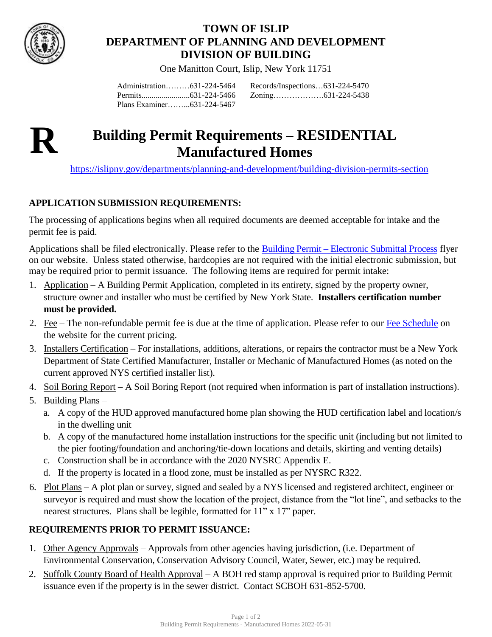

## **TOWN OF ISLIP DEPARTMENT OF PLANNING AND DEVELOPMENT DIVISION OF BUILDING**

One Manitton Court, Islip, New York 11751

Administration………631-224-5464 Permits........................631-224-5466 Plans Examiner……...631-224-5467

Records/Inspections…631-224-5470 Zoning……………….631-224-5438



# **R Building Permit Requirements – RESIDENTIAL Manufactured Homes**

<https://islipny.gov/departments/planning-and-development/building-division-permits-section>

### **APPLICATION SUBMISSION REQUIREMENTS:**

The processing of applications begins when all required documents are deemed acceptable for intake and the permit fee is paid.

Applications shall be filed electronically. Please refer to the Building Permit – [Electronic Submittal Process](https://islipny.gov/building-division-permits-list/986-document-upload-instructions-for-electronic-submissions-building/file) flyer on our website. Unless stated otherwise, hardcopies are not required with the initial electronic submission, but may be required prior to permit issuance. The following items are required for permit intake:

- 1. Application A Building Permit Application, completed in its entirety, signed by the property owner, structure owner and installer who must be certified by New York State. **Installers certification number must be provided.**
- 2. Fee The non-refundable permit fee is due at the time of application. Please refer to our [Fee Schedule](https://islipny.gov/building-division-permits-list/49-fee-schedule-for-the-building-division-residential/file) on the website for the current pricing.
- 3. Installers Certification For installations, additions, alterations, or repairs the contractor must be a New York Department of State Certified Manufacturer, Installer or Mechanic of Manufactured Homes (as noted on the current approved NYS certified installer list).
- 4. Soil Boring Report A Soil Boring Report (not required when information is part of installation instructions).
- 5. Building Plans
	- a. A copy of the HUD approved manufactured home plan showing the HUD certification label and location/s in the dwelling unit
	- b. A copy of the manufactured home installation instructions for the specific unit (including but not limited to the pier footing/foundation and anchoring/tie-down locations and details, skirting and venting details)
	- c. Construction shall be in accordance with the 2020 NYSRC Appendix E.
	- d. If the property is located in a flood zone, must be installed as per NYSRC R322.
- 6. Plot Plans A plot plan or survey, signed and sealed by a NYS licensed and registered architect, engineer or surveyor is required and must show the location of the project, distance from the "lot line", and setbacks to the nearest structures. Plans shall be legible, formatted for 11" x 17" paper.

### **REQUIREMENTS PRIOR TO PERMIT ISSUANCE:**

- 1. Other Agency Approvals Approvals from other agencies having jurisdiction, (i.e. Department of Environmental Conservation, Conservation Advisory Council, Water, Sewer, etc.) may be required.
- 2. Suffolk County Board of Health Approval A BOH red stamp approval is required prior to Building Permit issuance even if the property is in the sewer district. Contact SCBOH 631-852-5700.